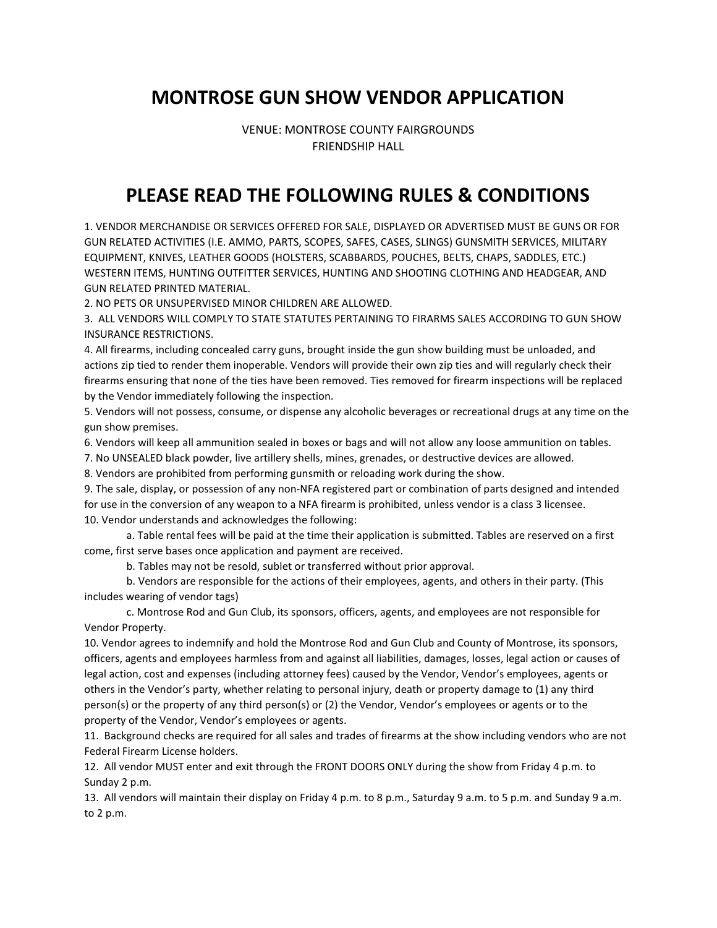## MONTROSE GUN SHOW VENDOR APPLICATION

VENUE: MONTROSE COUNTY FAIRGROUNDS FRIENDSHIP HALL

## PLEASE READ THE FOLLOWING RULES & CONDITIONS

1. VENDOR MERCHANDISE OR SERVICES OFFERED FOR SALE, DISPLAYED OR ADVERTISED MUST BE GUNS OR FOR GUN RELATED ACTIVITIES (I.E. AMMO, PARTS, SCOPES, SAFES, CASES, SLINGS) GUNSMITH SERVICES, MILITARY EQUIPMENT, KNIVES, LEATHER GOODS (HOLSTERS, SCABBARDS, POUCHES, BELTS, CHAPS, SADDLES, ETC.) WESTERN ITEMS, HUNTING OUTFITTER SERVICES, HUNTING AND SHOOTING CLOTHING AND HEADGEAR, AND GUN RELATED PRINTED MATERIAL.

2. NO PETS OR UNSUPERVISED MINOR CHILDREN ARE ALLOWED.

3. ALL VENDORS WILL COMPLY TO STATE STATUTES PERTAINING TO FIRARMS SALES ACCORDING TO GUN SHOW INSURANCE RESTRICTIONS.

4. All firearms, including concealed carry guns, brought inside the gun show building must be unloaded, and actions zip tied to render them inoperable. Vendors will provide their own zip ties and will regularly check their firearms ensuring that none of the ties have been removed. Ties removed for firearm inspections will be replaced by the Vendor immediately following the inspection.

5. Vendors will not possess, consume, or dispense any alcoholic beverages or recreational drugs at any time on the gun show premises.

6. Vendors will keep all ammunition sealed in boxes or bags and will not allow any loose ammunition on tables.

7. No UNSEALED black powder, live artillery shells, mines, grenades, or destructive devices are allowed.

8. Vendors are prohibited from performing gunsmith or reloading work during the show.

9. The sale, display, or possession of any non-NFA registered part or combination of parts designed and intended for use in the conversion of any weapon to a NFA firearm is prohibited, unless vendor is a class 3 licensee. 10. Vendor understands and acknowledges the following:

a. Table rental fees will be paid at the time their application is submitted. Tables are reserved on a first come, first serve bases once application and payment are received.

b. Tables may not be resold, sublet or transferred without prior approval.

b. Vendors are responsible for the actions of their employees, agents, and others in their party. (This includes wearing of vendor tags)

c. Montrose Rod and Gun Club, its sponsors, officers, agents, and employees are not responsible for Vendor Property.

10. Vendor agrees to indemnify and hold the Montrose Rod and Gun Club and County of Montrose, its sponsors, officers, agents and employees harmless from and against all liabilities, damages, losses, legal action or causes of legal action, cost and expenses (including attorney fees) caused by the Vendor, Vendor's employees, agents or others in the Vendor's party, whether relating to personal injury, death or property damage to (1) any third person(s) or the property of any third person(s) or (2) the Vendor, Vendor's employees or agents or to the property of the Vendor, Vendor's employees or agents.

11. Background checks are required for all sales and trades of firearms at the show including vendors who are not Federal Firearm License holders.

12. All vendor MUST enter and exit through the FRONT DOORS ONLY during the show from Friday 4 p.m. to Sunday 2 p.m.

13. All vendors will maintain their display on Friday 4 p.m. to 8 p.m., Saturday 9 a.m. to 5 p.m. and Sunday 9 a.m. to 2 p.m.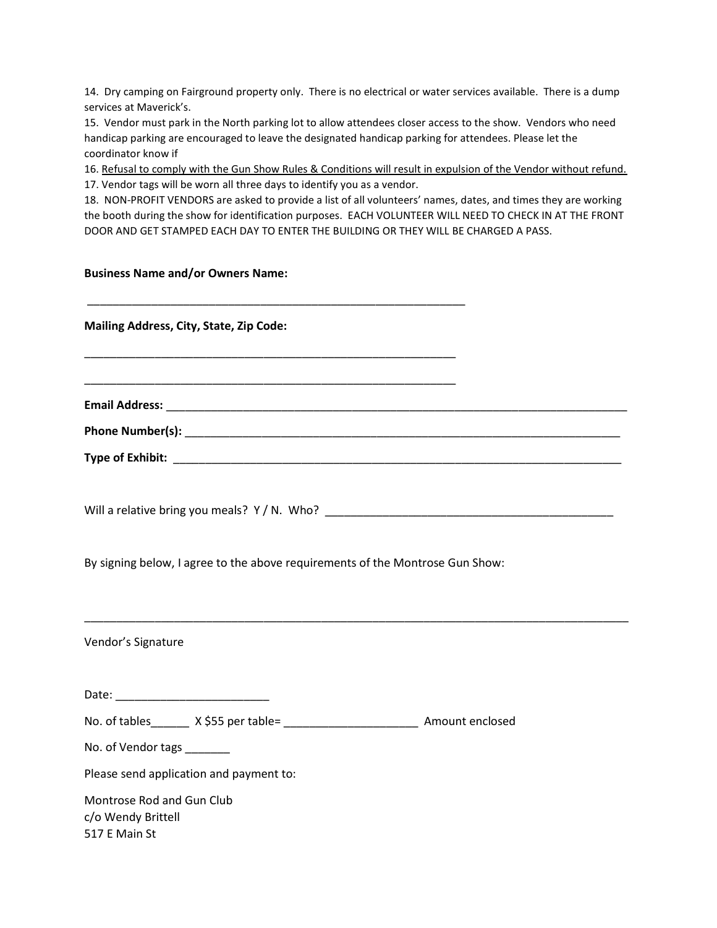14. Dry camping on Fairground property only. There is no electrical or water services available. There is a dump services at Maverick's.

15. Vendor must park in the North parking lot to allow attendees closer access to the show. Vendors who need handicap parking are encouraged to leave the designated handicap parking for attendees. Please let the coordinator know if

16. Refusal to comply with the Gun Show Rules & Conditions will result in expulsion of the Vendor without refund.

17. Vendor tags will be worn all three days to identify you as a vendor.

18. NON-PROFIT VENDORS are asked to provide a list of all volunteers' names, dates, and times they are working the booth during the show for identification purposes. EACH VOLUNTEER WILL NEED TO CHECK IN AT THE FRONT DOOR AND GET STAMPED EACH DAY TO ENTER THE BUILDING OR THEY WILL BE CHARGED A PASS.

## Business Name and/or Owners Name:

| Mailing Address, City, State, Zip Code:                                            |  |
|------------------------------------------------------------------------------------|--|
|                                                                                    |  |
|                                                                                    |  |
|                                                                                    |  |
|                                                                                    |  |
|                                                                                    |  |
| By signing below, I agree to the above requirements of the Montrose Gun Show:      |  |
| Vendor's Signature                                                                 |  |
|                                                                                    |  |
| No. of tables_______ X \$55 per table= ___________________________ Amount enclosed |  |
| No. of Vendor tags _______                                                         |  |
| Please send application and payment to:                                            |  |
| Montrose Rod and Gun Club<br>c/o Wendy Brittell<br>517 E Main St                   |  |